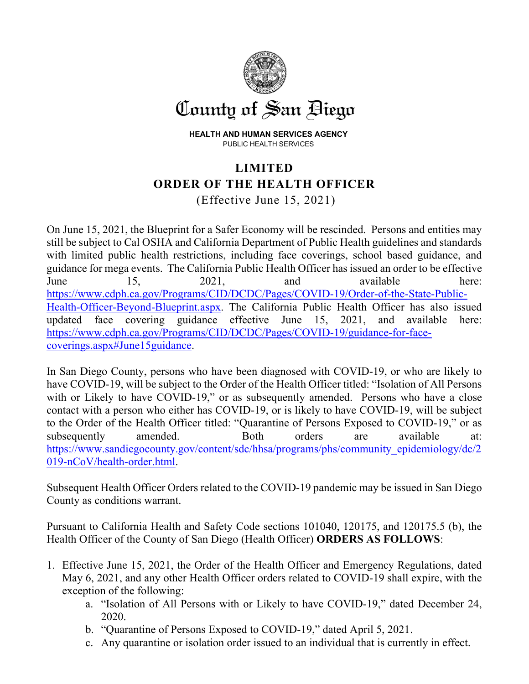

**HEALTH AND HUMAN SERVICES AGENCY**  PUBLIC HEALTH SERVICES

## **LIMITED ORDER OF THE HEALTH OFFICER** (Effective June 15, 2021)

On June 15, 2021, the Blueprint for a Safer Economy will be rescinded. Persons and entities may still be subject to Cal OSHA and California Department of Public Health guidelines and standards with limited public health restrictions, including face coverings, school based guidance, and guidance for mega events. The California Public Health Officer has issued an order to be effective June 15, 2021, and available here: [https://www.cdph.ca.gov/Programs/CID/DCDC/Pages/COVID-19/Order-of-the-State-Public-](https://www.cdph.ca.gov/Programs/CID/DCDC/Pages/COVID-19/Order-of-the-State-Public-Health-Officer-Beyond-Blueprint.aspx)[Health-Officer-Beyond-Blueprint.aspx.](https://www.cdph.ca.gov/Programs/CID/DCDC/Pages/COVID-19/Order-of-the-State-Public-Health-Officer-Beyond-Blueprint.aspx) The California Public Health Officer has also issued updated face covering guidance effective June 15, 2021, and available here: [https://www.cdph.ca.gov/Programs/CID/DCDC/Pages/COVID-19/guidance-for-face](https://www.cdph.ca.gov/Programs/CID/DCDC/Pages/COVID-19/guidance-for-face-coverings.aspx#June15guidance)[coverings.aspx#June15guidance.](https://www.cdph.ca.gov/Programs/CID/DCDC/Pages/COVID-19/guidance-for-face-coverings.aspx#June15guidance)

In San Diego County, persons who have been diagnosed with COVID-19, or who are likely to have COVID-19, will be subject to the Order of the Health Officer titled: "Isolation of All Persons with or Likely to have COVID-19," or as subsequently amended. Persons who have a close contact with a person who either has COVID-19, or is likely to have COVID-19, will be subject to the Order of the Health Officer titled: "Quarantine of Persons Exposed to COVID-19," or as subsequently amended. Both orders are available at: [https://www.sandiegocounty.gov/content/sdc/hhsa/programs/phs/community\\_epidemiology/dc/2](https://www.sandiegocounty.gov/content/sdc/hhsa/programs/phs/community_epidemiology/dc/2019-nCoV/health-order.html) [019-nCoV/health-order.html.](https://www.sandiegocounty.gov/content/sdc/hhsa/programs/phs/community_epidemiology/dc/2019-nCoV/health-order.html)

Subsequent Health Officer Orders related to the COVID-19 pandemic may be issued in San Diego County as conditions warrant.

Pursuant to California Health and Safety Code sections 101040, 120175, and 120175.5 (b), the Health Officer of the County of San Diego (Health Officer) **ORDERS AS FOLLOWS**:

- 1. Effective June 15, 2021, the Order of the Health Officer and Emergency Regulations, dated May 6, 2021, and any other Health Officer orders related to COVID-19 shall expire, with the exception of the following:
	- a. "Isolation of All Persons with or Likely to have COVID-19," dated December 24, 2020.
	- b. "Quarantine of Persons Exposed to COVID-19," dated April 5, 2021.
	- c. Any quarantine or isolation order issued to an individual that is currently in effect.